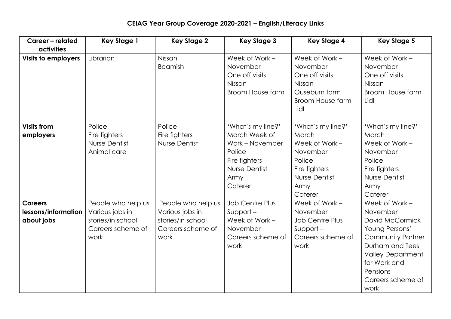## **CEIAG Year Group Coverage 2020-2021 – English/Literacy Links**

| Career - related<br><b>activities</b>               | <b>Key Stage 1</b>                                                                      | <b>Key Stage 2</b>                                                                      | <b>Key Stage 3</b>                                                                                                          | <b>Key Stage 4</b>                                                                                                             | <b>Key Stage 5</b>                                                                                                                                                                                  |
|-----------------------------------------------------|-----------------------------------------------------------------------------------------|-----------------------------------------------------------------------------------------|-----------------------------------------------------------------------------------------------------------------------------|--------------------------------------------------------------------------------------------------------------------------------|-----------------------------------------------------------------------------------------------------------------------------------------------------------------------------------------------------|
| <b>Visits to employers</b>                          | Librarian                                                                               | Nissan<br><b>Beamish</b>                                                                | Week of Work -<br>November<br>One off visits<br>Nissan<br><b>Broom House farm</b>                                           | Week of Work -<br>November<br>One off visits<br>Nissan<br>Ouseburn farm<br>Broom House farm<br>Lidl                            | Week of Work -<br>November<br>One off visits<br>Nissan<br><b>Broom House farm</b><br>Lidl                                                                                                           |
| <b>Visits from</b><br>employers                     | Police<br>Fire fighters<br>Nurse Dentist<br>Animal care                                 | Police<br>Fire fighters<br>Nurse Dentist                                                | 'What's my line?'<br>March Week of<br>Work - November<br>Police<br>Fire fighters<br><b>Nurse Dentist</b><br>Army<br>Caterer | 'What's my line?'<br><b>March</b><br>Week of Work -<br>November<br>Police<br>Fire fighters<br>Nurse Dentist<br>Army<br>Caterer | 'What's my line?'<br>March<br>Week of Work -<br>November<br>Police<br>Fire fighters<br>Nurse Dentist<br>Army<br>Caterer                                                                             |
| <b>Careers</b><br>lessons/information<br>about jobs | People who help us<br>Various jobs in<br>stories/in school<br>Careers scheme of<br>work | People who help us<br>Various jobs in<br>stories/in school<br>Careers scheme of<br>work | <b>Job Centre Plus</b><br>$Support-$<br>Week of Work -<br>November<br>Careers scheme of<br>work                             | Week of Work -<br>November<br><b>Job Centre Plus</b><br>$Support-$<br>Careers scheme of<br>work                                | Week of Work -<br>November<br>David McCormick<br>Young Persons'<br><b>Community Partner</b><br>Durham and Tees<br><b>Valley Department</b><br>for Work and<br>Pensions<br>Careers scheme of<br>work |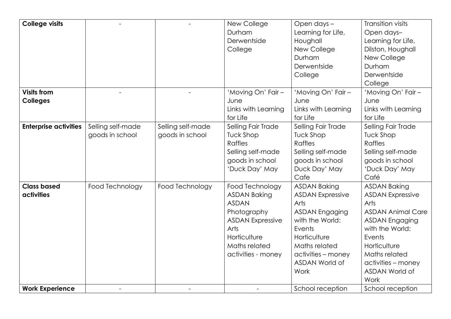| <b>College visits</b>        |                   |                   | New College             | Open days -             | Transition visits        |
|------------------------------|-------------------|-------------------|-------------------------|-------------------------|--------------------------|
|                              |                   |                   | Durham                  | Learning for Life,      | Open days-               |
|                              |                   |                   | Derwentside             | Houghall                | Learning for Life,       |
|                              |                   |                   | College                 | New College             | Dilston, Houghall        |
|                              |                   |                   |                         | Durham                  | New College              |
|                              |                   |                   |                         | Derwentside             | Durham                   |
|                              |                   |                   |                         | College                 | Derwentside              |
|                              |                   |                   |                         |                         | College                  |
| <b>Visits from</b>           |                   |                   | 'Moving On' Fair -      | 'Moving On' Fair -      | 'Moving On' Fair -       |
| <b>Colleges</b>              |                   |                   | June                    | June                    | June                     |
|                              |                   |                   | Links with Learning     | Links with Learning     | Links with Learning      |
|                              |                   |                   | for Life                | for Life                | for Life                 |
| <b>Enterprise activities</b> | Selling self-made | Selling self-made | Selling Fair Trade      | Selling Fair Trade      | Selling Fair Trade       |
|                              | goods in school   | goods in school   | <b>Tuck Shop</b>        | <b>Tuck Shop</b>        | <b>Tuck Shop</b>         |
|                              |                   |                   | <b>Raffles</b>          | Raffles                 | <b>Raffles</b>           |
|                              |                   |                   | Selling self-made       | Selling self-made       | Selling self-made        |
|                              |                   |                   | goods in school         | goods in school         | goods in school          |
|                              |                   |                   | 'Duck Day' May          | Duck Day' May           | 'Duck Day' May           |
|                              |                   |                   |                         | Cafe                    | Café                     |
| <b>Class based</b>           | Food Technology   | Food Technology   | Food Technology         | <b>ASDAN Baking</b>     | <b>ASDAN Baking</b>      |
| activities                   |                   |                   | <b>ASDAN Baking</b>     | <b>ASDAN Expressive</b> | <b>ASDAN Expressive</b>  |
|                              |                   |                   | <b>ASDAN</b>            | Arts                    | Arts                     |
|                              |                   |                   | Photography             | <b>ASDAN Engaging</b>   | <b>ASDAN Animal Care</b> |
|                              |                   |                   | <b>ASDAN Expressive</b> | with the World:         | <b>ASDAN Engaging</b>    |
|                              |                   |                   | Arts                    | Events                  | with the World:          |
|                              |                   |                   | Horticulture            | Horticulture            | Events                   |
|                              |                   |                   | Maths related           | Maths related           | Horticulture             |
|                              |                   |                   | activities - money      | activities - money      | Maths related            |
|                              |                   |                   |                         | ASDAN World of          | activities - money       |
|                              |                   |                   |                         | Work                    | ASDAN World of           |
|                              |                   |                   |                         |                         | Work                     |
| <b>Work Experience</b>       |                   |                   |                         | School reception        | School reception         |